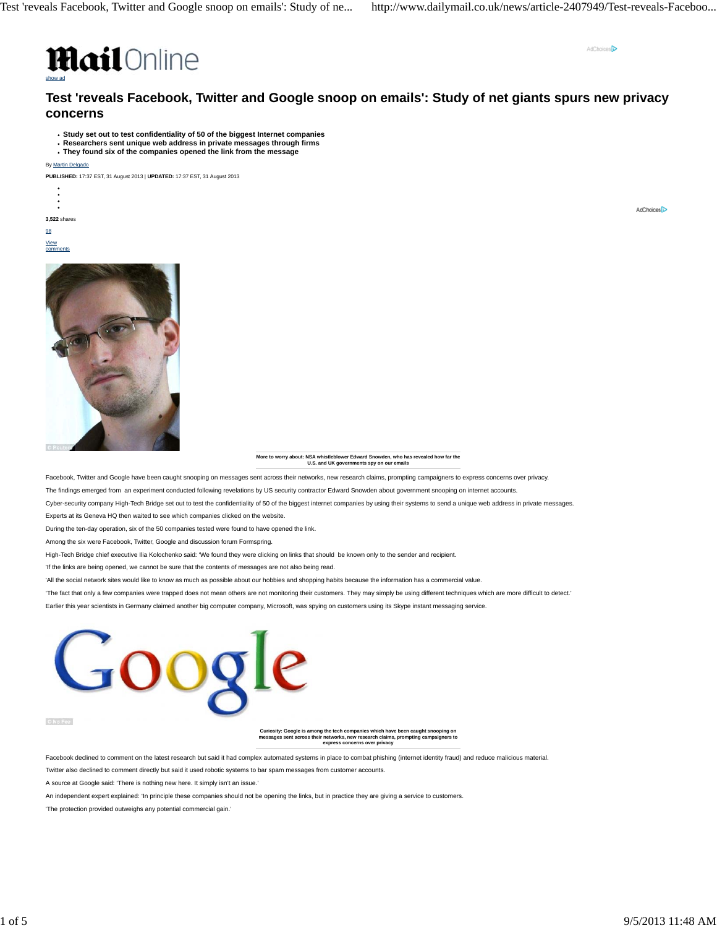

AdChoices<sup>D</sup>

# **Test 'reveals Facebook, Twitter and Google snoop on emails': Study of net giants spurs new privacy concerns**

- **Study set out to test confidentiality of 50 of the biggest Internet companies**
- **Researchers sent unique web address in private messages through firms They found six of the companies opened the link from the message**
- By Martin Delgado

**PUBLISHED:** 17:37 EST, 31 August 2013 | **UPDATED:** 17:37 EST, 31 August 2013

**3,522** shares 98

View comments





# **More to worry about: NSA whistleblower Edward Snowden, who has revealed how far the U.S. and UK governments spy on our emails**

Facebook, Twitter and Google have been caught snooping on messages sent across their networks, new research claims, prompting campaigners to express concerns over privacy.

The findings emerged from an experiment conducted following revelations by US security contractor Edward Snowden about government snooping on internet accounts.

Cyber-security company High-Tech Bridge set out to test the confidentiality of 50 of the biggest internet companies by using their systems to send a unique web address in private messages.

Experts at its Geneva HQ then waited to see which companies clicked on the website.

During the ten-day operation, six of the 50 companies tested were found to have opened the link.

Among the six were Facebook, Twitter, Google and discussion forum Formspring.

High-Tech Bridge chief executive Ilia Kolochenko said: 'We found they were clicking on links that should be known only to the sender and recipient.

'If the links are being opened, we cannot be sure that the contents of messages are not also being read.

'All the social network sites would like to know as much as possible about our hobbies and shopping habits because the information has a commercial value.

'The fact that only a few companies were trapped does not mean others are not monitoring their customers. They may simply be using different techniques which are more difficult to detect.'

Earlier this year scientists in Germany claimed another big computer company, Microsoft, was spying on customers using its Skype instant messaging service.



O No Fee

**Curiosity: Google is among the tech companies which have been caught snooping on messages sent across their networks, new research claims, prompting campaigners to express concerns over privacy**

Facebook declined to comment on the latest research but said it had complex automated systems in place to combat phishing (internet identity fraud) and reduce malicious material.

Twitter also declined to comment directly but said it used robotic systems to bar spam messages from customer accounts.

A source at Google said: 'There is nothing new here. It simply isn't an issue.'

An independent expert explained: 'In principle these companies should not be opening the links, but in practice they are giving a service to customers.

'The protection provided outweighs any potential commercial gain.'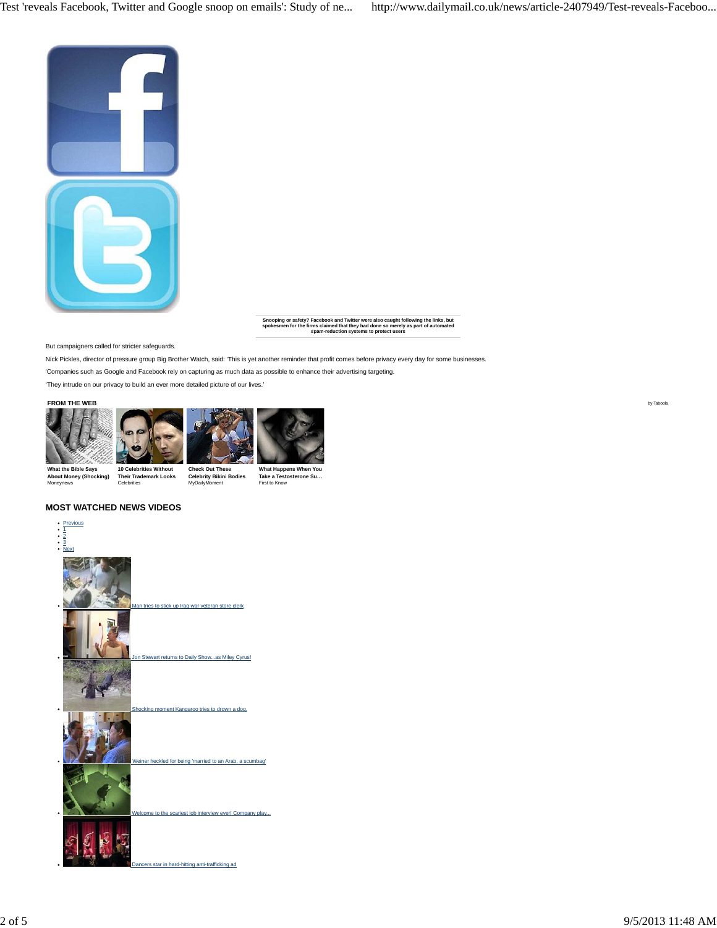

Snooping or safety? Facebook and Twitter were also caught following the links, but<br>spokesmen for the firms claimed that they had done so merely as part of automated<br>spam-reduction systems to protect users

But campaigners called for stricter safeguards.

Nick Pickles, director of pressure group Big Brother Watch, said: 'This is yet another reminder that profit comes before privacy every day for some businesses.

'Companies such as Google and Facebook rely on capturing as much data as possible to enhance their advertising targeting.

'They intrude on our privacy to build an ever more detailed picture of our lives.'

#### **FROM THE WEB** by Taboola







**What the Bible Says About Money (Shocking)** Moneynews

Celebrities



**Take a Testosterone Su…** First to Know

## **MOST WATCHED NEWS VIDEOS**

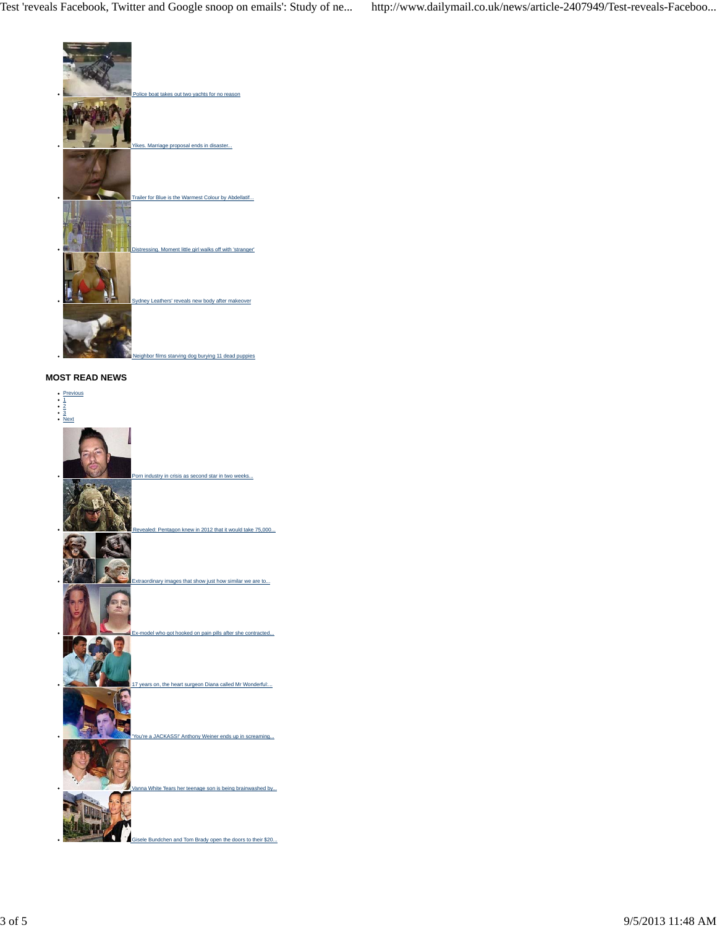

### **MOST READ NEWS**

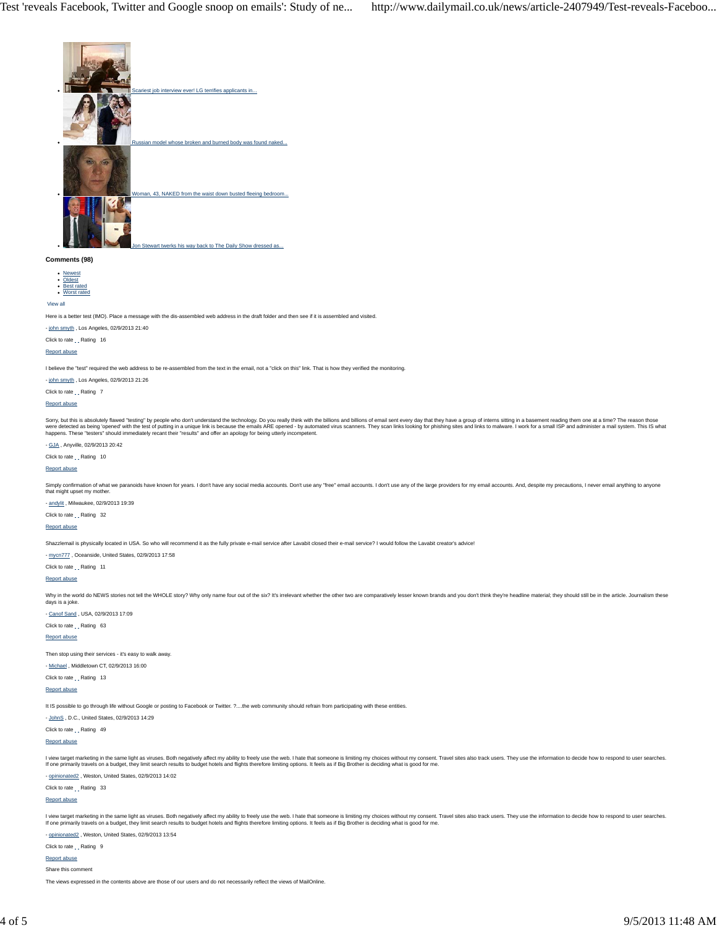

**Comments (98)**



Here is a better test (IMO). Place a message with the dis-assembled web address in the draft folder and then see if it is assembled and visited.

- john smyth , Los Angeles, 02/9/2013 21:40

Click to rate \_ Rating 16

Report abuse

I believe the "test" required the web address to be re-assembled from the text in the email, not a "click on this" link. That is how they verified the monitoring.

- john smyth , Los Angeles, 02/9/2013 21:26 Click to rate \_\_ Rating 7

Report abuse

Sorry, but this is absolutely flawed "testing" by people who don't understand the technology. Do you really think with the billions and billions of email sent every day that they have a group of interns sitting in a baseme

- GJA , Anyville, 02/9/2013 20:42 Click to rate \_\_ Rating 10

#### Report abuse

Simply confirmation of what we paranoids have known for years. I don't have any social media accounts. Don't use any "free" email accounts. I don't use any of the large providers for my email accounts. And, despite my prec that might upset my mother

- andylit , Milwaukee, 02/9/2013 19:39 Click to rate Rating 32

Report abuse

Shazzlemail is physically located in USA. So who will recommend it as the fully private e-mail service after Lavabit closed their e-mail service? I would follow the Lavabit creator's advice!

- mycn777 , Oceanside, United States, 02/9/2013 17:58

Click to rate \_\_ Rating 11

Report abuse

Why in the world do NEWS stories not tell the WHOLE story? Why only name four out of the six? It's irrelevant whether the other two are comparatively lesser known brands and you don't think they're headline material; they days is a joke.

- Canof Sand , USA, 02/9/2013 17:09

Click to rate \_\_ Rating 63

Report abuse

Then stop using their services - it's easy to walk away.

- Michael , Middletown CT, 02/9/2013 16:00

Click to rate \_\_ Rating 13

Report abuse

It IS possible to go through life without Google or posting to Facebook or Twitter. ?....the web community should refrain from participating with these entities

- JohnS , D.C., United States, 02/9/2013 14:29

Click to rate \_ Rating 49

Report abuse

l view target marketing in the same light as viruses. Both negatively affect my ability to freely use the web. I hate that someone is limiting my choices without my consert. Travel sites also track users. They use the info

- opinionated2 , Weston, United States, 02/9/2013 14:02

Click to rate \_ Rating 33

Report abuse

l view target marketing in the same light as viruses. Both negatively affect my ability to freely use the web. I hate that someone is limiting my choices without my consert. Travel sites also track users. They use the info

- opinionated2 , Weston, United States, 02/9/2013 13:54

Click to rate \_\_ Rating 9

Report abuse Share this comment

The views expressed in the contents above are those of our users and do not necessarily reflect the views of MailOnline.